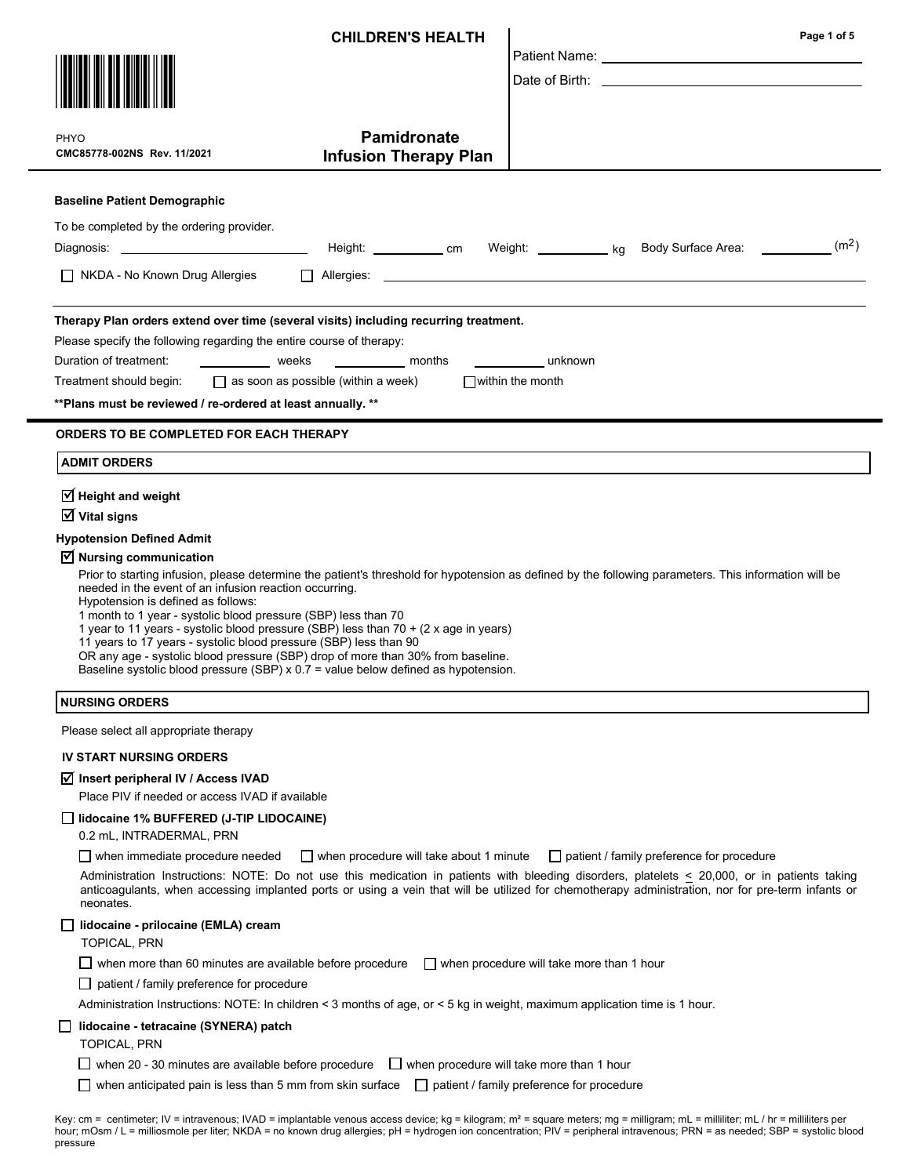| <b>CHILDREN'S HEALTH</b>                                                                                                                                                                                                                                                                                                                                                                                                                                                                                                                                                                                                                                                                                                                                                                                           |                                                    |                                           | Page 1 of 5                                                                                                                                                                                                                                                                                                                                           |  |  |
|--------------------------------------------------------------------------------------------------------------------------------------------------------------------------------------------------------------------------------------------------------------------------------------------------------------------------------------------------------------------------------------------------------------------------------------------------------------------------------------------------------------------------------------------------------------------------------------------------------------------------------------------------------------------------------------------------------------------------------------------------------------------------------------------------------------------|----------------------------------------------------|-------------------------------------------|-------------------------------------------------------------------------------------------------------------------------------------------------------------------------------------------------------------------------------------------------------------------------------------------------------------------------------------------------------|--|--|
|                                                                                                                                                                                                                                                                                                                                                                                                                                                                                                                                                                                                                                                                                                                                                                                                                    |                                                    |                                           | Patient Name: University of Patient Name:                                                                                                                                                                                                                                                                                                             |  |  |
|                                                                                                                                                                                                                                                                                                                                                                                                                                                                                                                                                                                                                                                                                                                                                                                                                    |                                                    |                                           | Date of Birth: the contract of the contract of the contract of the contract of the contract of the contract of the contract of the contract of the contract of the contract of the contract of the contract of the contract of                                                                                                                        |  |  |
|                                                                                                                                                                                                                                                                                                                                                                                                                                                                                                                                                                                                                                                                                                                                                                                                                    |                                                    |                                           |                                                                                                                                                                                                                                                                                                                                                       |  |  |
| <b>PHYO</b><br>CMC85778-002NS Rev. 11/2021                                                                                                                                                                                                                                                                                                                                                                                                                                                                                                                                                                                                                                                                                                                                                                         | <b>Pamidronate</b><br><b>Infusion Therapy Plan</b> |                                           |                                                                                                                                                                                                                                                                                                                                                       |  |  |
|                                                                                                                                                                                                                                                                                                                                                                                                                                                                                                                                                                                                                                                                                                                                                                                                                    |                                                    |                                           |                                                                                                                                                                                                                                                                                                                                                       |  |  |
| <b>Baseline Patient Demographic</b>                                                                                                                                                                                                                                                                                                                                                                                                                                                                                                                                                                                                                                                                                                                                                                                |                                                    |                                           |                                                                                                                                                                                                                                                                                                                                                       |  |  |
| To be completed by the ordering provider.<br>Diagnosis: _________________________________                                                                                                                                                                                                                                                                                                                                                                                                                                                                                                                                                                                                                                                                                                                          |                                                    |                                           | (m <sup>2</sup> )<br>Height: ____________ cm Weight: ___________ kg Body Surface Area: _____________                                                                                                                                                                                                                                                  |  |  |
| $\Box$ NKDA - No Known Drug Allergies                                                                                                                                                                                                                                                                                                                                                                                                                                                                                                                                                                                                                                                                                                                                                                              |                                                    |                                           | $\Box$ Allergies: $\Box$                                                                                                                                                                                                                                                                                                                              |  |  |
| Therapy Plan orders extend over time (several visits) including recurring treatment.<br>Please specify the following regarding the entire course of therapy:<br>Duration of treatment: weeks<br>months<br>______________unknown<br>Treatment should begin: $\Box$ as soon as possible (within a week)<br>$\Box$ within the month<br>** Plans must be reviewed / re-ordered at least annually. **                                                                                                                                                                                                                                                                                                                                                                                                                   |                                                    |                                           |                                                                                                                                                                                                                                                                                                                                                       |  |  |
| <b>ORDERS TO BE COMPLETED FOR EACH THERAPY</b>                                                                                                                                                                                                                                                                                                                                                                                                                                                                                                                                                                                                                                                                                                                                                                     |                                                    |                                           |                                                                                                                                                                                                                                                                                                                                                       |  |  |
| <b>ADMIT ORDERS</b>                                                                                                                                                                                                                                                                                                                                                                                                                                                                                                                                                                                                                                                                                                                                                                                                |                                                    |                                           |                                                                                                                                                                                                                                                                                                                                                       |  |  |
| $\mathbb Z$ Height and weight<br>$\overline{\mathsf{V}}$ Vital signs<br><b>Hypotension Defined Admit</b><br>$\triangledown$ Nursing communication<br>Prior to starting infusion, please determine the patient's threshold for hypotension as defined by the following parameters. This information will be<br>needed in the event of an infusion reaction occurring.<br>Hypotension is defined as follows:<br>1 month to 1 year - systolic blood pressure (SBP) less than 70<br>1 year to 11 years - systolic blood pressure (SBP) less than 70 + (2 x age in years)<br>11 years to 17 years - systolic blood pressure (SBP) less than 90<br>OR any age - systolic blood pressure (SBP) drop of more than 30% from baseline.<br>Baseline systolic blood pressure (SBP) x 0.7 = value below defined as hypotension. |                                                    |                                           |                                                                                                                                                                                                                                                                                                                                                       |  |  |
| <b>NURSING ORDERS</b>                                                                                                                                                                                                                                                                                                                                                                                                                                                                                                                                                                                                                                                                                                                                                                                              |                                                    |                                           |                                                                                                                                                                                                                                                                                                                                                       |  |  |
| Please select all appropriate therapy                                                                                                                                                                                                                                                                                                                                                                                                                                                                                                                                                                                                                                                                                                                                                                              |                                                    |                                           |                                                                                                                                                                                                                                                                                                                                                       |  |  |
| <b>IV START NURSING ORDERS</b>                                                                                                                                                                                                                                                                                                                                                                                                                                                                                                                                                                                                                                                                                                                                                                                     |                                                    |                                           |                                                                                                                                                                                                                                                                                                                                                       |  |  |
| ∐ Insert peripheral IV / Access IVAD                                                                                                                                                                                                                                                                                                                                                                                                                                                                                                                                                                                                                                                                                                                                                                               |                                                    |                                           |                                                                                                                                                                                                                                                                                                                                                       |  |  |
| Place PIV if needed or access IVAD if available                                                                                                                                                                                                                                                                                                                                                                                                                                                                                                                                                                                                                                                                                                                                                                    |                                                    |                                           |                                                                                                                                                                                                                                                                                                                                                       |  |  |
| lidocaine 1% BUFFERED (J-TIP LIDOCAINE)<br>0.2 mL, INTRADERMAL, PRN                                                                                                                                                                                                                                                                                                                                                                                                                                                                                                                                                                                                                                                                                                                                                |                                                    |                                           |                                                                                                                                                                                                                                                                                                                                                       |  |  |
| $\Box$ when immediate procedure needed<br>neonates.                                                                                                                                                                                                                                                                                                                                                                                                                                                                                                                                                                                                                                                                                                                                                                | $\Box$ when procedure will take about 1 minute     |                                           | $\Box$ patient / family preference for procedure<br>Administration Instructions: NOTE: Do not use this medication in patients with bleeding disorders, platelets < 20,000, or in patients taking<br>anticoagulants, when accessing implanted ports or using a vein that will be utilized for chemotherapy administration, nor for pre-term infants or |  |  |
| lidocaine - prilocaine (EMLA) cream<br><b>TOPICAL, PRN</b>                                                                                                                                                                                                                                                                                                                                                                                                                                                                                                                                                                                                                                                                                                                                                         |                                                    |                                           |                                                                                                                                                                                                                                                                                                                                                       |  |  |
| $\Box$ when more than 60 minutes are available before procedure                                                                                                                                                                                                                                                                                                                                                                                                                                                                                                                                                                                                                                                                                                                                                    |                                                    | when procedure will take more than 1 hour |                                                                                                                                                                                                                                                                                                                                                       |  |  |
| $\Box$ patient / family preference for procedure                                                                                                                                                                                                                                                                                                                                                                                                                                                                                                                                                                                                                                                                                                                                                                   |                                                    |                                           |                                                                                                                                                                                                                                                                                                                                                       |  |  |
| Administration Instructions: NOTE: In children < 3 months of age, or < 5 kg in weight, maximum application time is 1 hour.                                                                                                                                                                                                                                                                                                                                                                                                                                                                                                                                                                                                                                                                                         |                                                    |                                           |                                                                                                                                                                                                                                                                                                                                                       |  |  |
| $\Box$ lidocaine - tetracaine (SYNERA) patch<br><b>TOPICAL, PRN</b>                                                                                                                                                                                                                                                                                                                                                                                                                                                                                                                                                                                                                                                                                                                                                |                                                    |                                           |                                                                                                                                                                                                                                                                                                                                                       |  |  |
| $\Box$ when 20 - 30 minutes are available before procedure $\Box$ when procedure will take more than 1 hour<br>when anticipated pain is less than 5 mm from skin surface                                                                                                                                                                                                                                                                                                                                                                                                                                                                                                                                                                                                                                           |                                                    | patient / family preference for procedure |                                                                                                                                                                                                                                                                                                                                                       |  |  |
|                                                                                                                                                                                                                                                                                                                                                                                                                                                                                                                                                                                                                                                                                                                                                                                                                    |                                                    |                                           | $\cdot$ IV = introvenous: IVAD = implantable venous access device: kg = kilogram: m² = square meters: mg = milligram: ml = milliliter: ml / hr = milliliters per                                                                                                                                                                                      |  |  |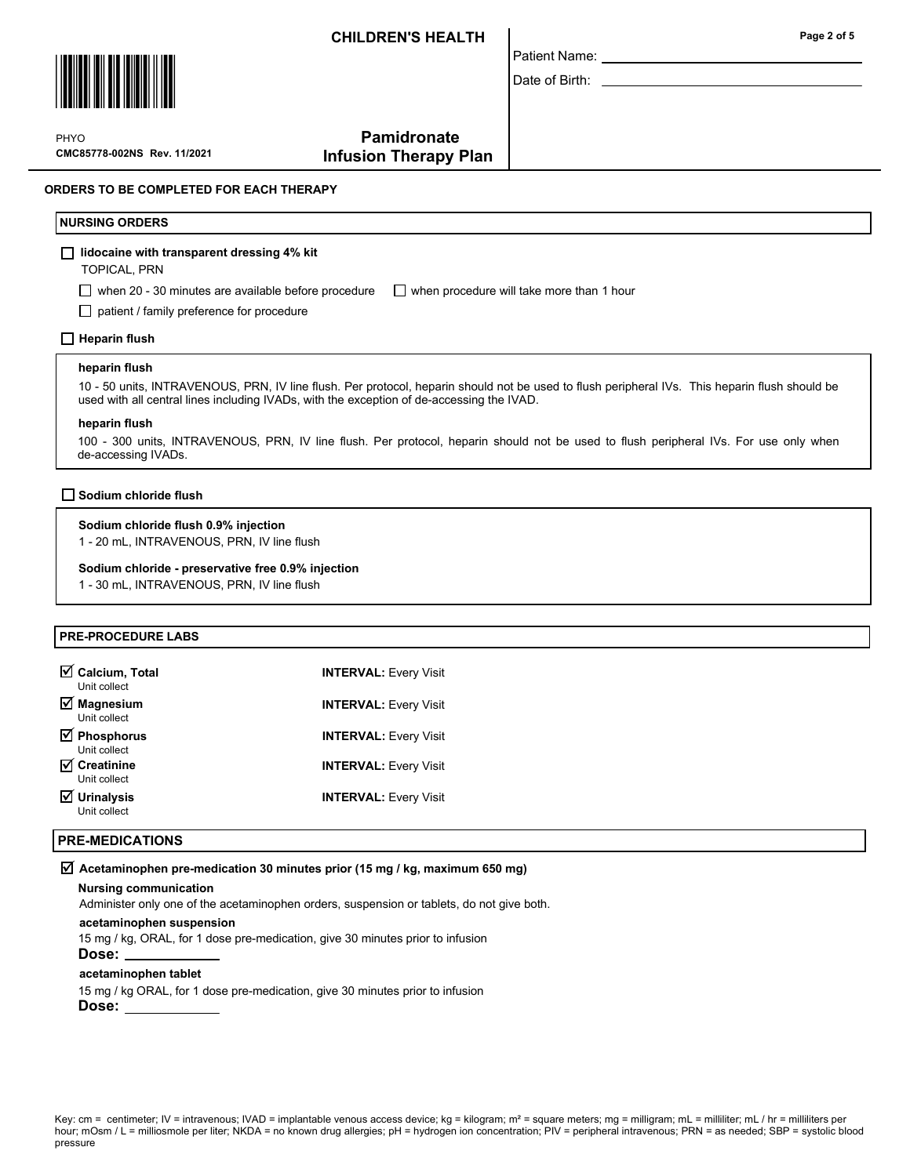Patient Name: Date of Birth:



PHYO

Page 2 of 5

# **Pamidronate** Infusion Therapy Plan

#### ORDERS TO BE COMPLETED FOR EACH THERAPY

#### NURSING ORDERS

#### $\Box$  lidocaine with transparent dressing 4% kit

TOPICAL, PRN

CMC85778-002NS Rev. 11/2021

when 20 - 30 minutes are available before procedure  $\Box$  when procedure will take more than 1 hour

□ patient / family preference for procedure

#### $\Box$  Heparin flush

#### heparin flush

10 - 50 units, INTRAVENOUS, PRN, IV line flush. Per protocol, heparin should not be used to flush peripheral IVs. This heparin flush should be used with all central lines including IVADs, with the exception of de-accessing the IVAD.

#### heparin flush

100 - 300 units, INTRAVENOUS, PRN, IV line flush. Per protocol, heparin should not be used to flush peripheral IVs. For use only when de-accessing IVADs.

#### $\Box$  Sodium chloride flush

#### Sodium chloride flush 0.9% injection

1 - 20 mL, INTRAVENOUS, PRN, IV line flush

#### Sodium chloride - preservative free 0.9% injection

1 - 30 mL, INTRAVENOUS, PRN, IV line flush

### PRE-PROCEDURE LABS

| $\boxtimes$ Calcium, Total<br>Unit collect         | <b>INTERVAL: Every Visit</b> |
|----------------------------------------------------|------------------------------|
| $\overline{\mathcal{A}}$ Magnesium<br>Unit collect | <b>INTERVAL: Every Visit</b> |
| $\overline{\mathbf{y}}$ Phosphorus<br>Unit collect | <b>INTERVAL: Every Visit</b> |
| $\overline{M}$ Creatinine<br>Unit collect          | <b>INTERVAL: Every Visit</b> |
| $\overline{\mathbf{y}}$ Urinalysis<br>Unit collect | <b>INTERVAL: Every Visit</b> |

#### PRE-MEDICATIONS

#### $\overline{M}$  Acetaminophen pre-medication 30 minutes prior (15 mg / kg, maximum 650 mg)

#### Nursing communication

Administer only one of the acetaminophen orders, suspension or tablets, do not give both.

#### acetaminophen suspension

15 mg / kg, ORAL, for 1 dose pre-medication, give 30 minutes prior to infusion

# Dose:

#### acetaminophen tablet

15 mg / kg ORAL, for 1 dose pre-medication, give 30 minutes prior to infusion

Dose: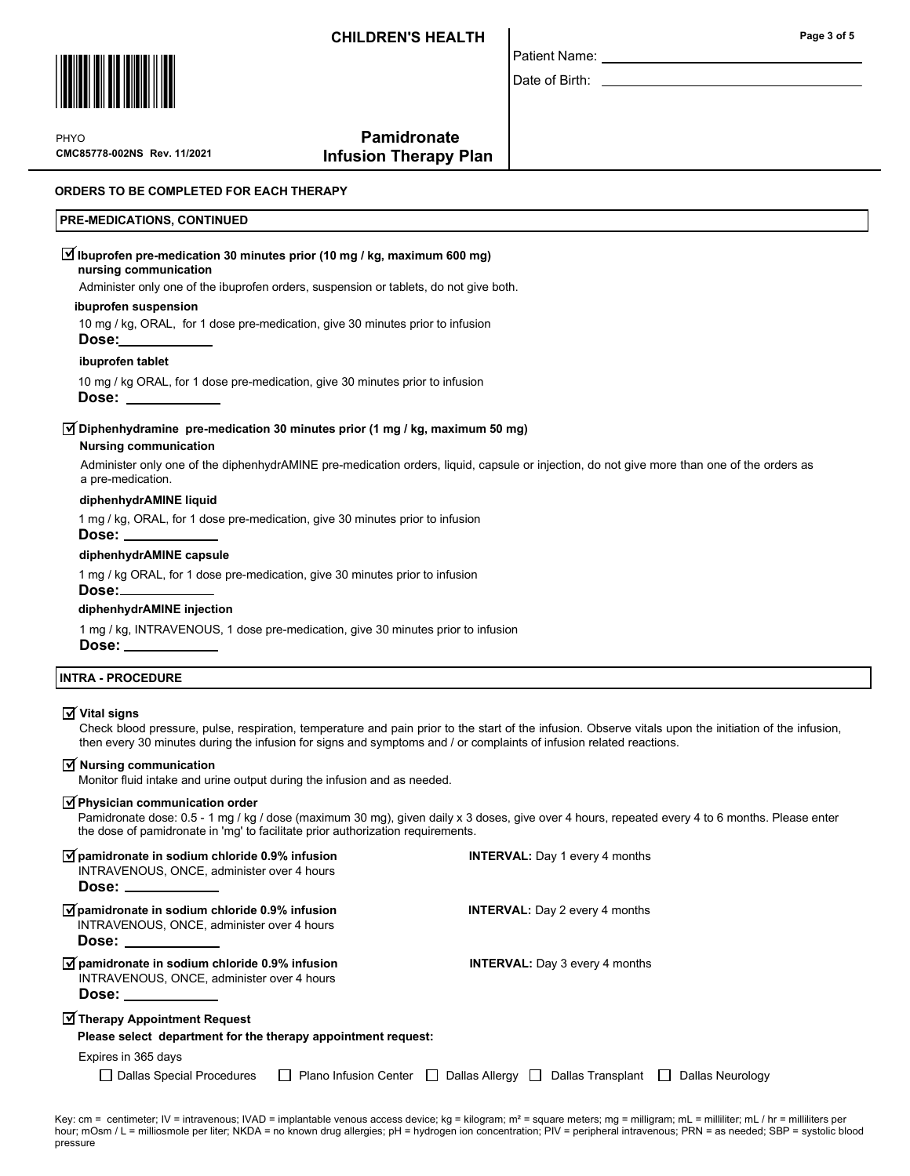

Patient Name:

Date of Birth:

CMC85778-002NS Rev. 11/2021 **PHYO** 

# **Pamidronate** Infusion Therapy Plan

#### ORDERS TO BE COMPLETED FOR EACH THERAPY

#### PRE-MEDICATIONS, CONTINUED

|  | $\overline{\mathcal{A}}$ Ibuprofen pre-medication 30 minutes prior (10 mg / kg, maximum 600 mg) |  |  |  |
|--|-------------------------------------------------------------------------------------------------|--|--|--|
|  |                                                                                                 |  |  |  |

### nursing communication

Administer only one of the ibuprofen orders, suspension or tablets, do not give both.

#### ibuprofen suspension

10 mg / kg, ORAL, for 1 dose pre-medication, give 30 minutes prior to infusion

# ibuprofen tablet

Dose:

10 mg / kg ORAL, for 1 dose pre-medication, give 30 minutes prior to infusion

Dose:

## $\overline{\blacktriangleleft}$  Diphenhydramine  $\,$  pre-medication 30 minutes prior (1 mg / kg, maximum 50 mg)

#### Nursing communication

Administer only one of the diphenhydrAMINE pre-medication orders, liquid, capsule or injection, do not give more than one of the orders as a pre-medication.

#### diphenhydrAMINE liquid

1 mg / kg, ORAL, for 1 dose pre-medication, give 30 minutes prior to infusion

#### Dose:

#### diphenhydrAMINE capsule

1 mg / kg ORAL, for 1 dose pre-medication, give 30 minutes prior to infusion

### Dose:

### diphenhydrAMINE injection

1 mg / kg, INTRAVENOUS, 1 dose pre-medication, give 30 minutes prior to infusion Dose:

#### INTRA - PROCEDURE

#### $\overrightarrow{V}$  Vital signs

Check blood pressure, pulse, respiration, temperature and pain prior to the start of the infusion. Observe vitals upon the initiation of the infusion, then every 30 minutes during the infusion for signs and symptoms and / or complaints of infusion related reactions.

### $\overline{M}$  Nursing communication

Monitor fluid intake and urine output during the infusion and as needed.

#### $\sqrt{P}$ Physician communication order

Pamidronate dose: 0.5 - 1 mg / kg / dose (maximum 30 mg), given daily x 3 doses, give over 4 hours, repeated every 4 to 6 months. Please enter the dose of pamidronate in 'mg' to facilitate prior authorization requirements.

| $\overrightarrow{v}$ pamidronate in sodium chloride 0.9% infusion<br>INTRAVENOUS, ONCE, administer over 4 hours<br>Dose:                                                                                                                                                                                                                          | <b>INTERVAL:</b> Day 1 every 4 months |
|---------------------------------------------------------------------------------------------------------------------------------------------------------------------------------------------------------------------------------------------------------------------------------------------------------------------------------------------------|---------------------------------------|
| $\sqrt{\ }$ pamidronate in sodium chloride 0.9% infusion<br>INTRAVENOUS, ONCE, administer over 4 hours<br>Dose: the contract of the contract of the contract of the contract of the contract of the contract of the contract of the contract of the contract of the contract of the contract of the contract of the contract of the cont          | <b>INTERVAL:</b> Day 2 every 4 months |
| $\overrightarrow{v}$ pamidronate in sodium chloride 0.9% infusion<br>INTRAVENOUS, ONCE, administer over 4 hours<br>Dose: the contract of the contract of the contract of the contract of the contract of the contract of the contract of the contract of the contract of the contract of the contract of the contract of the contract of the cont | <b>INTERVAL:</b> Day 3 every 4 months |
| Therapy Appointment Request<br>Please select department for the therapy appointment request:                                                                                                                                                                                                                                                      |                                       |

# Expires in 365 days

□ Dallas Special Procedures □ Plano Infusion Center □ Dallas Allergy □ Dallas Transplant □ Dallas Neurology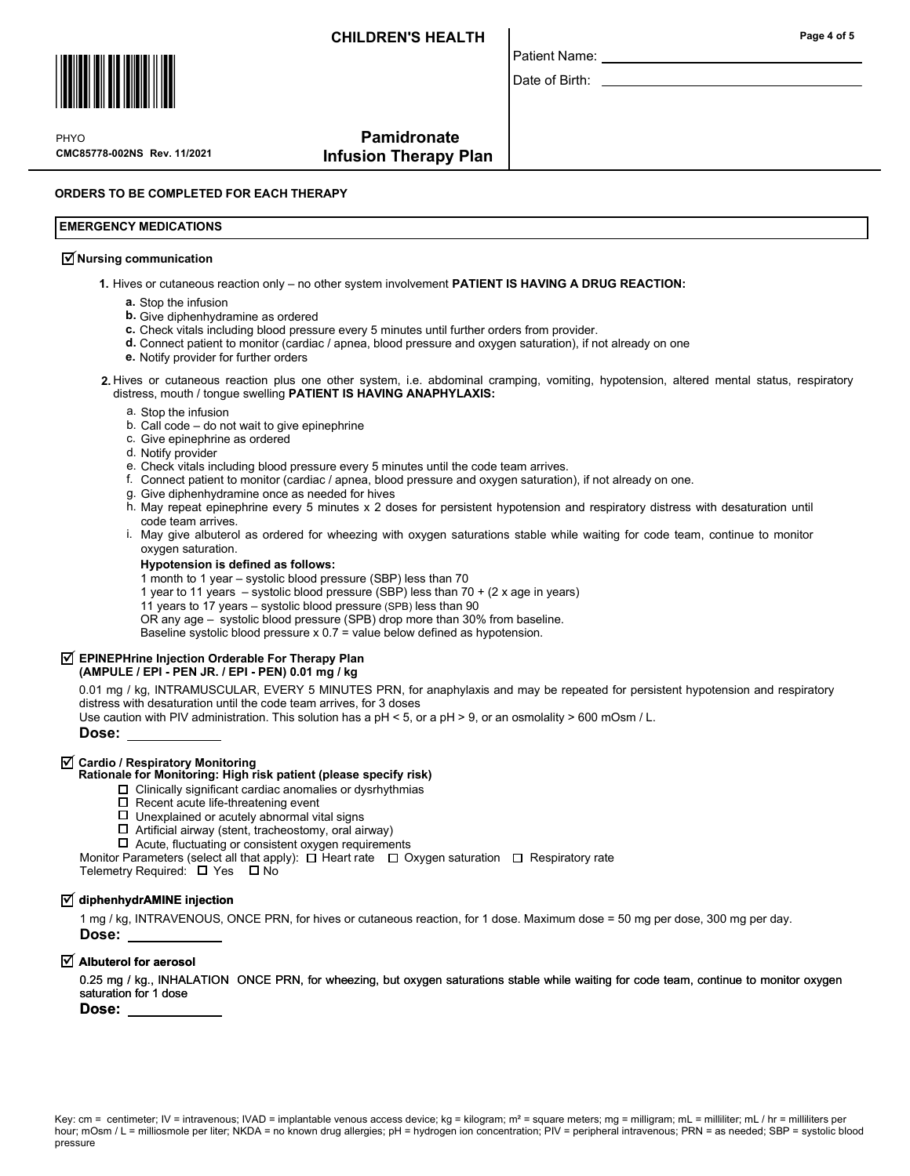

CMC85778-002NS Rev. 11/2021 **PHYO** 

# Pamidronate Infusion Therapy Plan

ORDERS TO BE COMPLETED FOR EACH THERAPY

### EMERGENCY MEDICATIONS

## $\overline{\mathcal{A}}$  Nursing communication

1. Hives or cutaneous reaction only – no other system involvement PATIENT IS HAVING A DRUG REACTION:

- a. Stop the infusion
- **b.** Give diphenhydramine as ordered
- c. Check vitals including blood pressure every 5 minutes until further orders from provider.
- d. Connect patient to monitor (cardiac / apnea, blood pressure and oxygen saturation), if not already on one
- e. Notify provider for further orders
- 2. Hives or cutaneous reaction plus one other system, i.e. abdominal cramping, vomiting, hypotension, altered mental status, respiratory distress, mouth / tongue swelling PATIENT IS HAVING ANAPHYLAXIS:

Patient Name: Date of Birth:

- a. Stop the infusion
- b. Call code do not wait to give epinephrine
- c. Give epinephrine as ordered
- d. Notify provider
- e. Check vitals including blood pressure every 5 minutes until the code team arrives.
- f. Connect patient to monitor (cardiac / apnea, blood pressure and oxygen saturation), if not already on one.
- Give diphenhydramine once as needed for hives g.
- h. May repeat epinephrine every 5 minutes x 2 doses for persistent hypotension and respiratory distress with desaturation until code team arrives.
- May give albuterol as ordered for wheezing with oxygen saturations stable while waiting for code team, continue to monitor i. oxygen saturation.

#### Hypotension is defined as follows:

1 month to 1 year – systolic blood pressure (SBP) less than 70

- 1 year to 11 years systolic blood pressure (SBP) less than 70 + (2 x age in years)
- 11 years to 17 years systolic blood pressure (SPB) less than 90

OR any age – systolic blood pressure (SPB) drop more than 30% from baseline.

Baseline systolic blood pressure x 0.7 = value below defined as hypotension.

# $\overline{\triangleleft}$  EPINEPHrine Injection Orderable For Therapy Plan

### (AMPULE / EPI - PEN JR. / EPI - PEN) 0.01 mg / kg

0.01 mg / kg, INTRAMUSCULAR, EVERY 5 MINUTES PRN, for anaphylaxis and may be repeated for persistent hypotension and respiratory distress with desaturation until the code team arrives, for 3 doses

Use caution with PIV administration. This solution has a pH < 5, or a pH > 9, or an osmolality > 600 mOsm / L.

Dose:

# $\overline{\mathsf{y}}$  Cardio / Respiratory Monitoring

#### Rationale for Monitoring: High risk patient (please specify risk)

- $\Box$  Clinically significant cardiac anomalies or dysrhythmias
- $\square$  Recent acute life-threatening event
- $\square$  Unexplained or acutely abnormal vital signs
- $\Box$  Artificial airway (stent, tracheostomy, oral airway)
- $\Box$  Acute, fluctuating or consistent oxygen requirements

Monitor Parameters (select all that apply):  $\Box$  Heart rate  $\Box$  Oxygen saturation  $\Box$  Respiratory rate

Telemetry Required:  $\Box$  Yes  $\Box$  No

## $\overline{\mathsf{y}}$  diphenhydrAMINE injection

1 mg / kg, INTRAVENOUS, ONCE PRN, for hives or cutaneous reaction, for 1 dose. Maximum dose = 50 mg per dose, 300 mg per day. Dose:

## $\overline{\trianglelefteq}$  Albuterol for aerosol

0.25 mg / kg., INHALATION ONCE PRN, for wheezing, but oxygen saturations stable while waiting for code team, continue to monitor oxygen saturation for 1 dose

Dose: